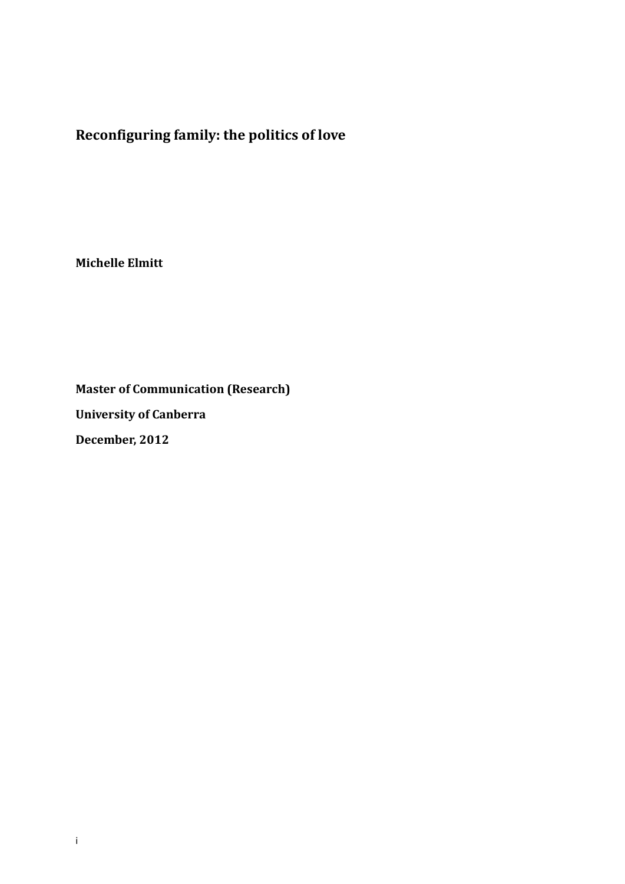**Reconfiguring family: the politics of love**

**Michelle Elmitt**

**Master of Communication (Research) University of Canberra December, 2012**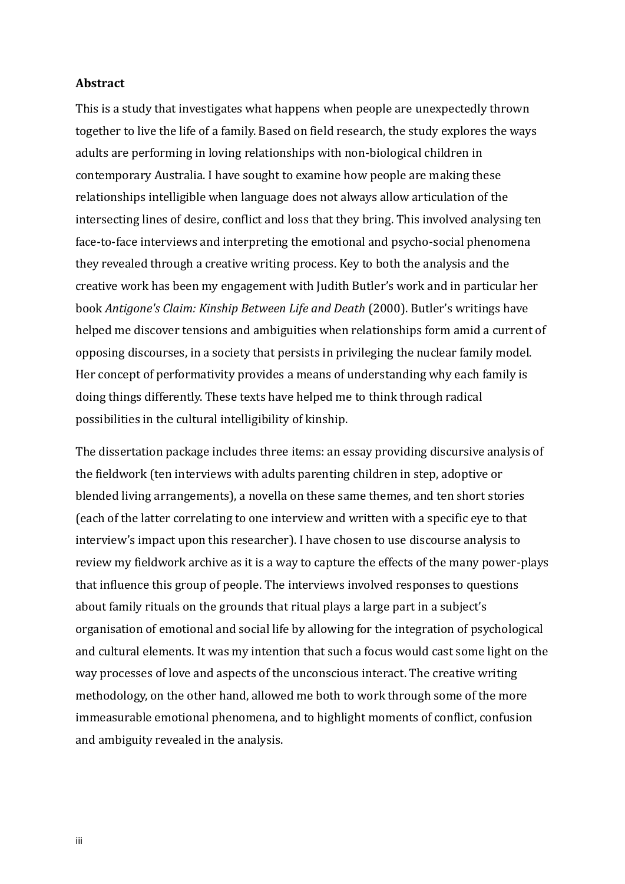## **Abstract**

This is a study that investigates what happens when people are unexpectedly thrown together to live the life of a family. Based on field research, the study explores the ways adults are performing in loving relationships with non-biological children in contemporary Australia. I have sought to examine how people are making these relationships intelligible when language does not always allow articulation of the intersecting lines of desire, conflict and loss that they bring. This involved analysing ten face-to-face interviews and interpreting the emotional and psycho-social phenomena they revealed through a creative writing process. Key to both the analysis and the creative work has been my engagement with Judith Butler's work and in particular her book *Antigone's Claim: Kinship Between Life and Death* (2000). Butler's writings have helped me discover tensions and ambiguities when relationships form amid a current of opposing discourses, in a society that persists in privileging the nuclear family model. Her concept of performativity provides a means of understanding why each family is doing things differently. These texts have helped me to think through radical possibilities in the cultural intelligibility of kinship.

The dissertation package includes three items: an essay providing discursive analysis of the fieldwork (ten interviews with adults parenting children in step, adoptive or blended living arrangements), a novella on these same themes, and ten short stories (each of the latter correlating to one interview and written with a specific eye to that interview's impact upon this researcher). I have chosen to use discourse analysis to review my fieldwork archive as it is a way to capture the effects of the many power-plays that influence this group of people. The interviews involved responses to questions about family rituals on the grounds that ritual plays a large part in a subject's organisation of emotional and social life by allowing for the integration of psychological and cultural elements. It was my intention that such a focus would cast some light on the way processes of love and aspects of the unconscious interact. The creative writing methodology, on the other hand, allowed me both to work through some of the more immeasurable emotional phenomena, and to highlight moments of conflict, confusion and ambiguity revealed in the analysis.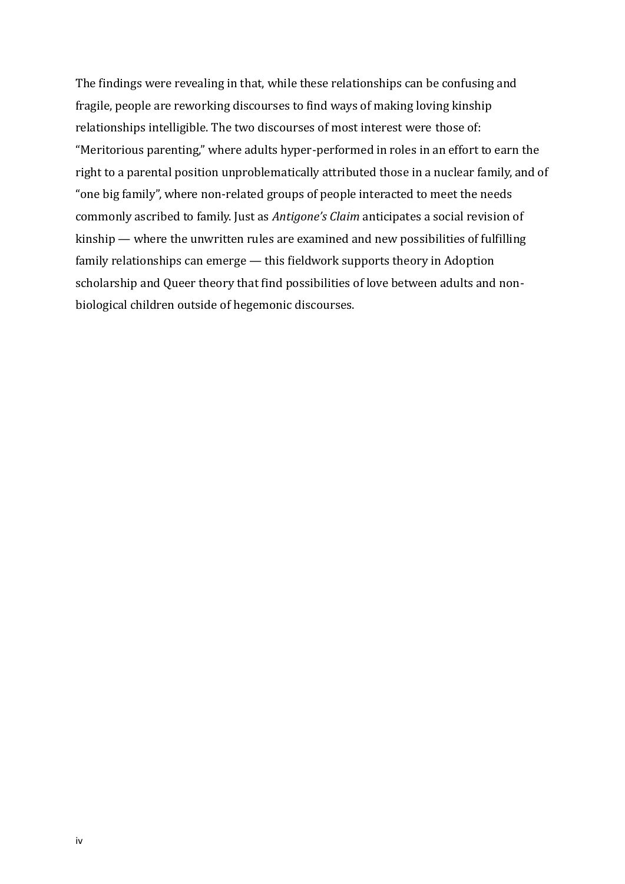The findings were revealing in that, while these relationships can be confusing and fragile, people are reworking discourses to find ways of making loving kinship relationships intelligible. The two discourses of most interest were those of: "Meritorious parenting," where adults hyper-performed in roles in an effort to earn the right to a parental position unproblematically attributed those in a nuclear family, and of "one big family", where non-related groups of people interacted to meet the needs commonly ascribed to family. Just as *Antigone's Claim* anticipates a social revision of kinship — where the unwritten rules are examined and new possibilities of fulfilling family relationships can emerge — this fieldwork supports theory in Adoption scholarship and Queer theory that find possibilities of love between adults and nonbiological children outside of hegemonic discourses.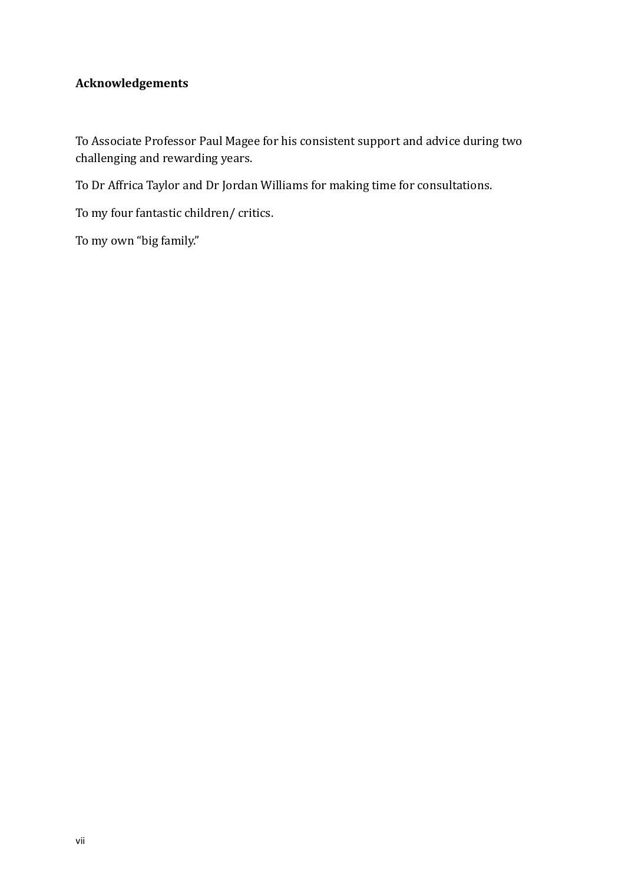## **Acknowledgements**

To Associate Professor Paul Magee for his consistent support and advice during two challenging and rewarding years.

To Dr Affrica Taylor and Dr Jordan Williams for making time for consultations.

To my four fantastic children/ critics.

To my own "big family."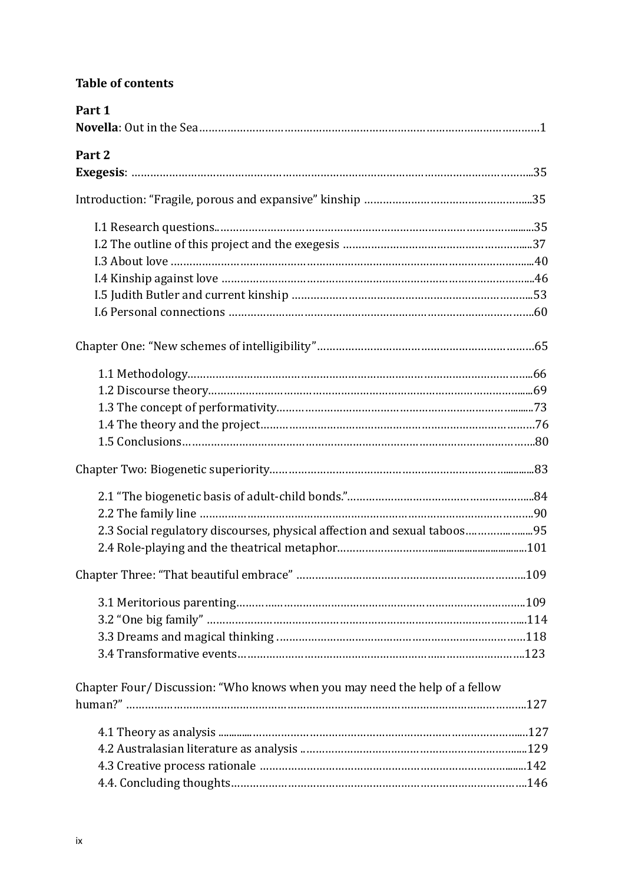## **Table of contents**

| Part 1                                                                     |  |
|----------------------------------------------------------------------------|--|
| Part 2                                                                     |  |
|                                                                            |  |
|                                                                            |  |
|                                                                            |  |
|                                                                            |  |
|                                                                            |  |
|                                                                            |  |
|                                                                            |  |
|                                                                            |  |
|                                                                            |  |
|                                                                            |  |
|                                                                            |  |
|                                                                            |  |
|                                                                            |  |
|                                                                            |  |
|                                                                            |  |
|                                                                            |  |
|                                                                            |  |
| 2.3 Social regulatory discourses, physical affection and sexual taboos95   |  |
|                                                                            |  |
|                                                                            |  |
|                                                                            |  |
|                                                                            |  |
|                                                                            |  |
|                                                                            |  |
| Chapter Four/Discussion: "Who knows when you may need the help of a fellow |  |
|                                                                            |  |
|                                                                            |  |
|                                                                            |  |
|                                                                            |  |
|                                                                            |  |